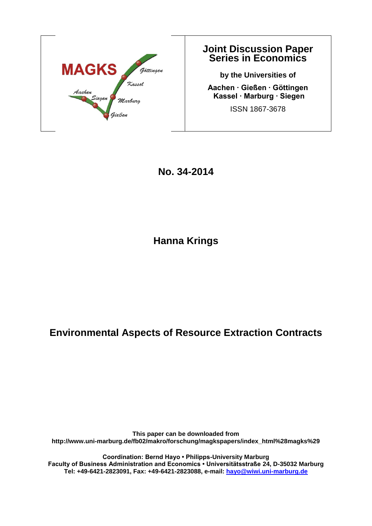

### **Joint Discussion Paper Series in Economics**

**by the Universities of Aachen ∙ Gießen ∙ Göttingen Kassel ∙ Marburg ∙ Siegen** ISSN 1867-3678

**No. 34-2014**

**Hanna Krings**

## **Environmental Aspects of Resource Extraction Contracts**

**This paper can be downloaded from http://www.uni-marburg.de/fb02/makro/forschung/magkspapers/index\_html%28magks%29**

**Coordination: Bernd Hayo • Philipps-University Marburg Faculty of Business Administration and Economics • Universitätsstraße 24, D-35032 Marburg Tel: +49-6421-2823091, Fax: +49-6421-2823088, e-mail: [hayo@wiwi.uni-marburg.de](mailto:hayo@wiwi.uni-marburg.de)**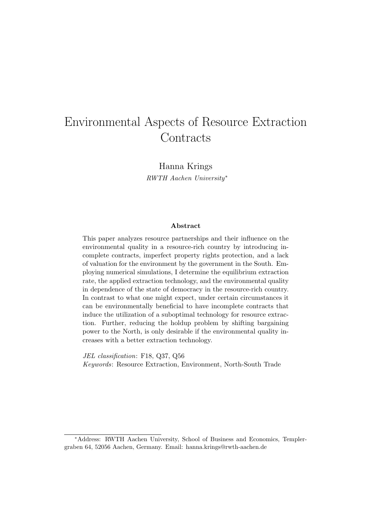## Environmental Aspects of Resource Extraction **Contracts**

Hanna Krings

RWTH Aachen University<sup>∗</sup>

#### Abstract

This paper analyzes resource partnerships and their influence on the environmental quality in a resource-rich country by introducing incomplete contracts, imperfect property rights protection, and a lack of valuation for the environment by the government in the South. Employing numerical simulations, I determine the equilibrium extraction rate, the applied extraction technology, and the environmental quality in dependence of the state of democracy in the resource-rich country. In contrast to what one might expect, under certain circumstances it can be environmentally beneficial to have incomplete contracts that induce the utilization of a suboptimal technology for resource extraction. Further, reducing the holdup problem by shifting bargaining power to the North, is only desirable if the environmental quality increases with a better extraction technology.

JEL classification: F18, Q37, Q56 Keywords: Resource Extraction, Environment, North-South Trade

<sup>∗</sup>Address: RWTH Aachen University, School of Business and Economics, Templergraben 64, 52056 Aachen, Germany. Email: hanna.krings@rwth-aachen.de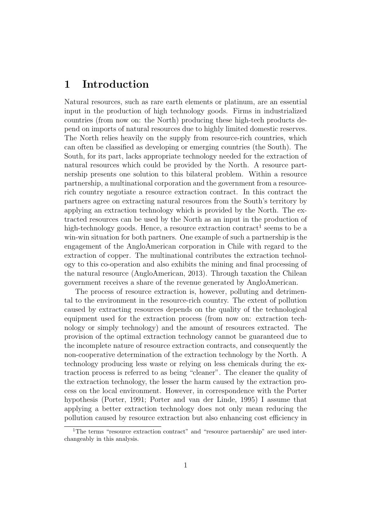### 1 Introduction

Natural resources, such as rare earth elements or platinum, are an essential input in the production of high technology goods. Firms in industrialized countries (from now on: the North) producing these high-tech products depend on imports of natural resources due to highly limited domestic reserves. The North relies heavily on the supply from resource-rich countries, which can often be classified as developing or emerging countries (the South). The South, for its part, lacks appropriate technology needed for the extraction of natural resources which could be provided by the North. A resource partnership presents one solution to this bilateral problem. Within a resource partnership, a multinational corporation and the government from a resourcerich country negotiate a resource extraction contract. In this contract the partners agree on extracting natural resources from the South's territory by applying an extraction technology which is provided by the North. The extracted resources can be used by the North as an input in the production of high-technology goods. Hence, a resource extraction contract<sup>1</sup> seems to be a win-win situation for both partners. One example of such a partnership is the engagement of the AngloAmerican corporation in Chile with regard to the extraction of copper. The multinational contributes the extraction technology to this co-operation and also exhibits the mining and final processing of the natural resource (AngloAmerican, 2013). Through taxation the Chilean government receives a share of the revenue generated by AngloAmerican.

The process of resource extraction is, however, polluting and detrimental to the environment in the resource-rich country. The extent of pollution caused by extracting resources depends on the quality of the technological equipment used for the extraction process (from now on: extraction technology or simply technology) and the amount of resources extracted. The provision of the optimal extraction technology cannot be guaranteed due to the incomplete nature of resource extraction contracts, and consequently the non-cooperative determination of the extraction technology by the North. A technology producing less waste or relying on less chemicals during the extraction process is referred to as being "cleaner". The cleaner the quality of the extraction technology, the lesser the harm caused by the extraction process on the local environment. However, in correspondence with the Porter hypothesis (Porter, 1991; Porter and van der Linde, 1995) I assume that applying a better extraction technology does not only mean reducing the pollution caused by resource extraction but also enhancing cost efficiency in

<sup>&</sup>lt;sup>1</sup>The terms "resource extraction contract" and "resource partnership" are used interchangeably in this analysis.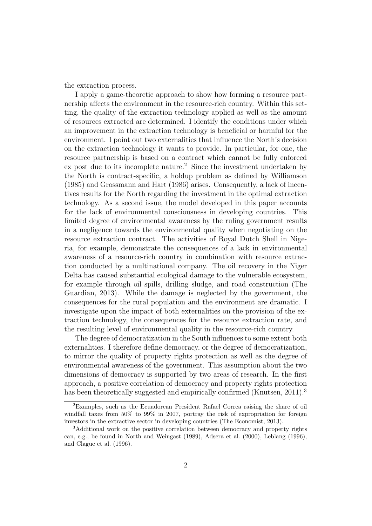the extraction process.

I apply a game-theoretic approach to show how forming a resource partnership affects the environment in the resource-rich country. Within this setting, the quality of the extraction technology applied as well as the amount of resources extracted are determined. I identify the conditions under which an improvement in the extraction technology is beneficial or harmful for the environment. I point out two externalities that influence the North's decision on the extraction technology it wants to provide. In particular, for one, the resource partnership is based on a contract which cannot be fully enforced ex post due to its incomplete nature.<sup>2</sup> Since the investment undertaken by the North is contract-specific, a holdup problem as defined by Williamson (1985) and Grossmann and Hart (1986) arises. Consequently, a lack of incentives results for the North regarding the investment in the optimal extraction technology. As a second issue, the model developed in this paper accounts for the lack of environmental consciousness in developing countries. This limited degree of environmental awareness by the ruling government results in a negligence towards the environmental quality when negotiating on the resource extraction contract. The activities of Royal Dutch Shell in Nigeria, for example, demonstrate the consequences of a lack in environmental awareness of a resource-rich country in combination with resource extraction conducted by a multinational company. The oil recovery in the Niger Delta has caused substantial ecological damage to the vulnerable ecosystem, for example through oil spills, drilling sludge, and road construction (The Guardian, 2013). While the damage is neglected by the government, the consequences for the rural population and the environment are dramatic. I investigate upon the impact of both externalities on the provision of the extraction technology, the consequences for the resource extraction rate, and the resulting level of environmental quality in the resource-rich country.

The degree of democratization in the South influences to some extent both externalities. I therefore define democracy, or the degree of democratization, to mirror the quality of property rights protection as well as the degree of environmental awareness of the government. This assumption about the two dimensions of democracy is supported by two areas of research. In the first approach, a positive correlation of democracy and property rights protection has been theoretically suggested and empirically confirmed (Knutsen, 2011).<sup>3</sup>

<sup>2</sup>Examples, such as the Ecuadorean President Rafael Correa raising the share of oil windfall taxes from 50% to 99% in 2007, portray the risk of expropriation for foreign investors in the extractive sector in developing countries (The Economist, 2013).

<sup>3</sup>Additional work on the positive correlation between democracy and property rights can, e.g., be found in North and Weingast (1989), Adsera et al. (2000), Leblang (1996), and Clague et al. (1996).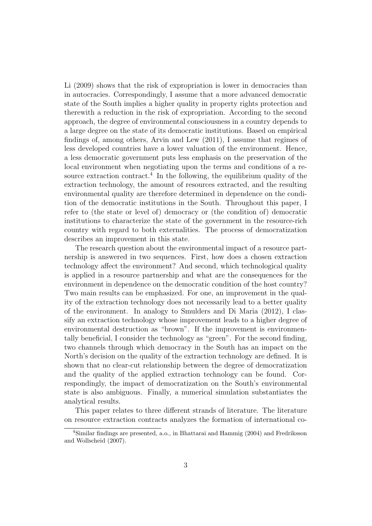Li (2009) shows that the risk of expropriation is lower in democracies than in autocracies. Correspondingly, I assume that a more advanced democratic state of the South implies a higher quality in property rights protection and therewith a reduction in the risk of expropriation. According to the second approach, the degree of environmental consciousness in a country depends to a large degree on the state of its democratic institutions. Based on empirical findings of, among others, Arvin and Lew (2011), I assume that regimes of less developed countries have a lower valuation of the environment. Hence, a less democratic government puts less emphasis on the preservation of the local environment when negotiating upon the terms and conditions of a resource extraction contract.<sup>4</sup> In the following, the equilibrium quality of the extraction technology, the amount of resources extracted, and the resulting environmental quality are therefore determined in dependence on the condition of the democratic institutions in the South. Throughout this paper, I refer to (the state or level of) democracy or (the condition of) democratic institutions to characterize the state of the government in the resource-rich country with regard to both externalities. The process of democratization describes an improvement in this state.

The research question about the environmental impact of a resource partnership is answered in two sequences. First, how does a chosen extraction technology affect the environment? And second, which technological quality is applied in a resource partnership and what are the consequences for the environment in dependence on the democratic condition of the host country? Two main results can be emphasized. For one, an improvement in the quality of the extraction technology does not necessarily lead to a better quality of the environment. In analogy to Smulders and Di Maria (2012), I classify an extraction technology whose improvement leads to a higher degree of environmental destruction as "brown". If the improvement is environmentally beneficial, I consider the technology as "green". For the second finding, two channels through which democracy in the South has an impact on the North's decision on the quality of the extraction technology are defined. It is shown that no clear-cut relationship between the degree of democratization and the quality of the applied extraction technology can be found. Correspondingly, the impact of democratization on the South's environmental state is also ambiguous. Finally, a numerical simulation substantiates the analytical results.

This paper relates to three different strands of literature. The literature on resource extraction contracts analyzes the formation of international co-

<sup>4</sup>Similar findings are presented, a.o., in Bhattarai and Hammig (2004) and Fredriksson and Wollscheid (2007).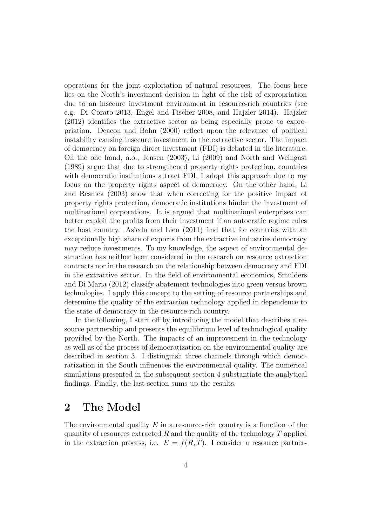operations for the joint exploitation of natural resources. The focus here lies on the North's investment decision in light of the risk of expropriation due to an insecure investment environment in resource-rich countries (see e.g. Di Corato 2013, Engel and Fischer 2008, and Hajzler 2014). Hajzler (2012) identifies the extractive sector as being especially prone to expropriation. Deacon and Bohn (2000) reflect upon the relevance of political instability causing insecure investment in the extractive sector. The impact of democracy on foreign direct investment (FDI) is debated in the literature. On the one hand, a.o., Jensen (2003), Li (2009) and North and Weingast (1989) argue that due to strengthened property rights protection, countries with democratic institutions attract FDI. I adopt this approach due to my focus on the property rights aspect of democracy. On the other hand, Li and Resnick (2003) show that when correcting for the positive impact of property rights protection, democratic institutions hinder the investment of multinational corporations. It is argued that multinational enterprises can better exploit the profits from their investment if an autocratic regime rules the host country. Asiedu and Lien (2011) find that for countries with an exceptionally high share of exports from the extractive industries democracy may reduce investments. To my knowledge, the aspect of environmental destruction has neither been considered in the research on resource extraction contracts nor in the research on the relationship between democracy and FDI in the extractive sector. In the field of environmental economics, Smulders and Di Maria (2012) classify abatement technologies into green versus brown technologies. I apply this concept to the setting of resource partnerships and determine the quality of the extraction technology applied in dependence to the state of democracy in the resource-rich country.

In the following, I start off by introducing the model that describes a resource partnership and presents the equilibrium level of technological quality provided by the North. The impacts of an improvement in the technology as well as of the process of democratization on the environmental quality are described in section 3. I distinguish three channels through which democratization in the South influences the environmental quality. The numerical simulations presented in the subsequent section 4 substantiate the analytical findings. Finally, the last section sums up the results.

### 2 The Model

The environmental quality  $E$  in a resource-rich country is a function of the quantity of resources extracted  $R$  and the quality of the technology  $T$  applied in the extraction process, i.e.  $E = f(R, T)$ . I consider a resource partner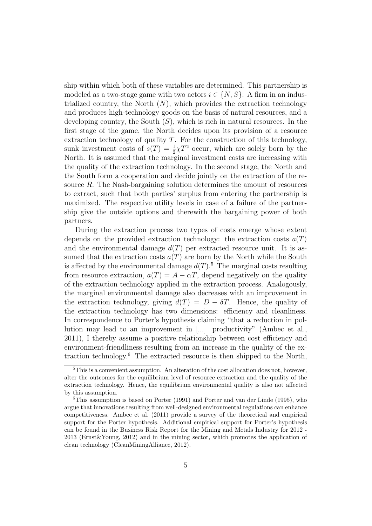ship within which both of these variables are determined. This partnership is modeled as a two-stage game with two actors  $i \in \{N, S\}$ : A firm in an industrialized country, the North  $(N)$ , which provides the extraction technology and produces high-technology goods on the basis of natural resources, and a developing country, the South  $(S)$ , which is rich in natural resources. In the first stage of the game, the North decides upon its provision of a resource extraction technology of quality  $T$ . For the construction of this technology, sunk investment costs of  $s(T) = \frac{1}{2}\chi T^2$  occur, which are solely born by the North. It is assumed that the marginal investment costs are increasing with the quality of the extraction technology. In the second stage, the North and the South form a cooperation and decide jointly on the extraction of the resource R. The Nash-bargaining solution determines the amount of resources to extract, such that both parties' surplus from entering the partnership is maximized. The respective utility levels in case of a failure of the partnership give the outside options and therewith the bargaining power of both partners.

During the extraction process two types of costs emerge whose extent depends on the provided extraction technology: the extraction costs  $a(T)$ and the environmental damage  $d(T)$  per extracted resource unit. It is assumed that the extraction costs  $a(T)$  are born by the North while the South is affected by the environmental damage  $d(T)$ .<sup>5</sup> The marginal costs resulting from resource extraction,  $a(T) = A - \alpha T$ , depend negatively on the quality of the extraction technology applied in the extraction process. Analogously, the marginal environmental damage also decreases with an improvement in the extraction technology, giving  $d(T) = D - \delta T$ . Hence, the quality of the extraction technology has two dimensions: efficiency and cleanliness. In correspondence to Porter's hypothesis claiming "that a reduction in pollution may lead to an improvement in [...] productivity" (Ambec et al., 2011), I thereby assume a positive relationship between cost efficiency and environment-friendliness resulting from an increase in the quality of the extraction technology. $6$  The extracted resource is then shipped to the North,

 ${}^{5}$ This is a convenient assumption. An alteration of the cost allocation does not, however, alter the outcomes for the equilibrium level of resource extraction and the quality of the extraction technology. Hence, the equilibrium environmental quality is also not affected by this assumption.

<sup>6</sup>This assumption is based on Porter (1991) and Porter and van der Linde (1995), who argue that innovations resulting from well-designed environmental regulations can enhance competitiveness. Ambec et al. (2011) provide a survey of the theoretical and empirical support for the Porter hypothesis. Additional empirical support for Porter's hypothesis can be found in the Business Risk Report for the Mining and Metals Industry for 2012 - 2013 (Ernst&Young, 2012) and in the mining sector, which promotes the application of clean technology (CleanMiningAlliance, 2012).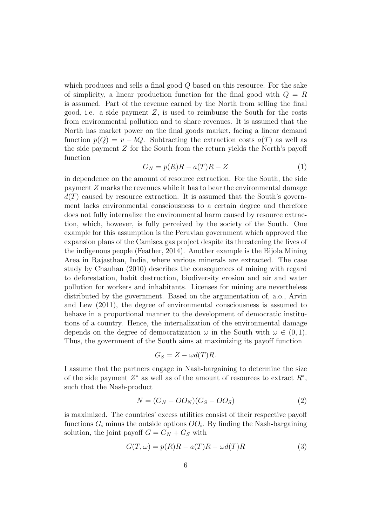which produces and sells a final good Q based on this resource. For the sake of simplicity, a linear production function for the final good with  $Q = R$ is assumed. Part of the revenue earned by the North from selling the final good, i.e. a side payment  $Z$ , is used to reimburse the South for the costs from environmental pollution and to share revenues. It is assumed that the North has market power on the final goods market, facing a linear demand function  $p(Q) = v - bQ$ . Subtracting the extraction costs  $a(T)$  as well as the side payment Z for the South from the return yields the North's payoff function

$$
G_N = p(R)R - a(T)R - Z \tag{1}
$$

in dependence on the amount of resource extraction. For the South, the side payment Z marks the revenues while it has to bear the environmental damage  $d(T)$  caused by resource extraction. It is assumed that the South's government lacks environmental consciousness to a certain degree and therefore does not fully internalize the environmental harm caused by resource extraction, which, however, is fully perceived by the society of the South. One example for this assumption is the Peruvian government which approved the expansion plans of the Camisea gas project despite its threatening the lives of the indigenous people (Feather, 2014). Another example is the Bijola Mining Area in Rajasthan, India, where various minerals are extracted. The case study by Chauhan (2010) describes the consequences of mining with regard to deforestation, habit destruction, biodiversity erosion and air and water pollution for workers and inhabitants. Licenses for mining are nevertheless distributed by the government. Based on the argumentation of, a.o., Arvin and Lew (2011), the degree of environmental consciousness is assumed to behave in a proportional manner to the development of democratic institutions of a country. Hence, the internalization of the environmental damage depends on the degree of democratization  $\omega$  in the South with  $\omega \in (0,1)$ . Thus, the government of the South aims at maximizing its payoff function

$$
G_S = Z - \omega d(T)R.
$$

I assume that the partners engage in Nash-bargaining to determine the size of the side payment  $Z^*$  as well as of the amount of resources to extract  $R^*$ , such that the Nash-product

$$
N = (G_N - OO_N)(G_S - OO_S)
$$
\n<sup>(2)</sup>

is maximized. The countries' excess utilities consist of their respective payoff functions  $G_i$  minus the outside options  $OO_i$ . By finding the Nash-bargaining solution, the joint payoff  $G = G_N + G_S$  with

$$
G(T, \omega) = p(R)R - a(T)R - \omega d(T)R
$$
\n(3)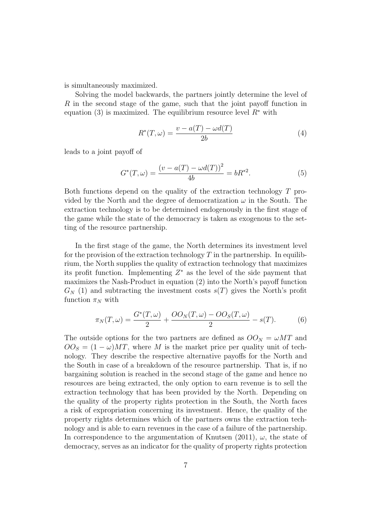is simultaneously maximized.

Solving the model backwards, the partners jointly determine the level of R in the second stage of the game, such that the joint payoff function in equation (3) is maximized. The equilibrium resource level  $R^*$  with

$$
R^*(T,\omega) = \frac{v - a(T) - \omega d(T)}{2b} \tag{4}
$$

leads to a joint payoff of

$$
G^*(T,\omega) = \frac{(v - a(T) - \omega d(T))^2}{4b} = bR^{*2}.
$$
 (5)

Both functions depend on the quality of the extraction technology T provided by the North and the degree of democratization  $\omega$  in the South. The extraction technology is to be determined endogenously in the first stage of the game while the state of the democracy is taken as exogenous to the setting of the resource partnership.

In the first stage of the game, the North determines its investment level for the provision of the extraction technology  $T$  in the partnership. In equilibrium, the North supplies the quality of extraction technology that maximizes its profit function. Implementing  $Z^*$  as the level of the side payment that maximizes the Nash-Product in equation (2) into the North's payoff function  $G_N$  (1) and subtracting the investment costs  $s(T)$  gives the North's profit function  $\pi_N$  with

$$
\pi_N(T,\omega) = \frac{G^*(T,\omega)}{2} + \frac{OO_N(T,\omega) - OO_S(T,\omega)}{2} - s(T). \tag{6}
$$

The outside options for the two partners are defined as  $OO<sub>N</sub> = \omega MT$  and  $OO<sub>S</sub> = (1 - \omega)MT$ , where M is the market price per quality unit of technology. They describe the respective alternative payoffs for the North and the South in case of a breakdown of the resource partnership. That is, if no bargaining solution is reached in the second stage of the game and hence no resources are being extracted, the only option to earn revenue is to sell the extraction technology that has been provided by the North. Depending on the quality of the property rights protection in the South, the North faces a risk of expropriation concerning its investment. Hence, the quality of the property rights determines which of the partners owns the extraction technology and is able to earn revenues in the case of a failure of the partnership. In correspondence to the argumentation of Knutsen (2011),  $\omega$ , the state of democracy, serves as an indicator for the quality of property rights protection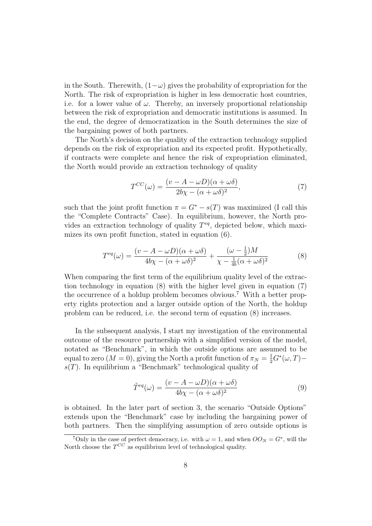in the South. Therewith,  $(1-\omega)$  gives the probability of expropriation for the North. The risk of expropriation is higher in less democratic host countries, i.e. for a lower value of  $\omega$ . Thereby, an inversely proportional relationship between the risk of expropriation and democratic institutions is assumed. In the end, the degree of democratization in the South determines the size of the bargaining power of both partners.

The North's decision on the quality of the extraction technology supplied depends on the risk of expropriation and its expected profit. Hypothetically, if contracts were complete and hence the risk of expropriation eliminated, the North would provide an extraction technology of quality

$$
T^{CC}(\omega) = \frac{(v - A - \omega D)(\alpha + \omega \delta)}{2b\chi - (\alpha + \omega \delta)^2},\tag{7}
$$

such that the joint profit function  $\pi = G^* - s(T)$  was maximized (I call this the "Complete Contracts" Case). In equilibrium, however, the North provides an extraction technology of quality  $T^{eq}$ , depicted below, which maximizes its own profit function, stated in equation (6).

$$
T^{eq}(\omega) = \frac{(v - A - \omega D)(\alpha + \omega \delta)}{4b\chi - (\alpha + \omega \delta)^2} + \frac{(\omega - \frac{1}{2})M}{\chi - \frac{1}{4b}(\alpha + \omega \delta)^2}
$$
(8)

When comparing the first term of the equilibrium quality level of the extraction technology in equation (8) with the higher level given in equation (7) the occurrence of a holdup problem becomes obvious.<sup>7</sup> With a better property rights protection and a larger outside option of the North, the holdup problem can be reduced, i.e. the second term of equation (8) increases.

In the subsequent analysis, I start my investigation of the environmental outcome of the resource partnership with a simplified version of the model, notated as "Benchmark", in which the outside options are assumed to be equal to zero  $(M = 0)$ , giving the North a profit function of  $\pi_N = \frac{1}{2} G^*(\omega, T)$  $s(T)$ . In equilibrium a "Benchmark" technological quality of

$$
\tilde{T}^{eq}(\omega) = \frac{(v - A - \omega D)(\alpha + \omega \delta)}{4b\chi - (\alpha + \omega \delta)^2}
$$
\n(9)

is obtained. In the later part of section 3, the scenario "Outside Options" extends upon the "Benchmark" case by including the bargaining power of both partners. Then the simplifying assumption of zero outside options is

<sup>&</sup>lt;sup>7</sup>Only in the case of perfect democracy, i.e. with  $\omega = 1$ , and when  $OO_N = G^*$ , will the North choose the  $T^{CC}$  as equilibrium level of technological quality.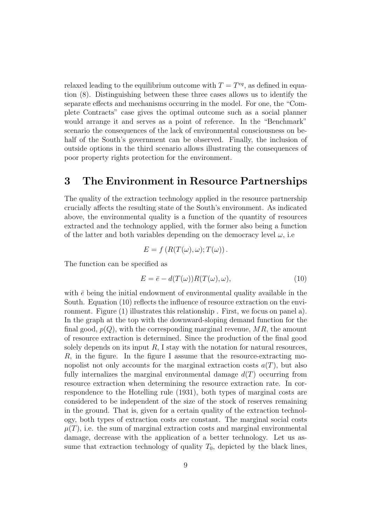relaxed leading to the equilibrium outcome with  $T = T^{eq}$ , as defined in equation (8). Distinguishing between these three cases allows us to identify the separate effects and mechanisms occurring in the model. For one, the "Complete Contracts" case gives the optimal outcome such as a social planner would arrange it and serves as a point of reference. In the "Benchmark" scenario the consequences of the lack of environmental consciousness on behalf of the South's government can be observed. Finally, the inclusion of outside options in the third scenario allows illustrating the consequences of poor property rights protection for the environment.

### 3 The Environment in Resource Partnerships

The quality of the extraction technology applied in the resource partnership crucially affects the resulting state of the South's environment. As indicated above, the environmental quality is a function of the quantity of resources extracted and the technology applied, with the former also being a function of the latter and both variables depending on the democracy level  $\omega$ , i.e.

$$
E = f(R(T(\omega), \omega); T(\omega)).
$$

The function can be specified as

$$
E = \bar{e} - d(T(\omega))R(T(\omega), \omega), \tag{10}
$$

with  $\bar{e}$  being the initial endowment of environmental quality available in the South. Equation (10) reflects the influence of resource extraction on the environment. Figure (1) illustrates this relationship . First, we focus on panel a). In the graph at the top with the downward-sloping demand function for the final good,  $p(Q)$ , with the corresponding marginal revenue, MR, the amount of resource extraction is determined. Since the production of the final good solely depends on its input  $R$ , I stay with the notation for natural resources,  $R$ , in the figure. In the figure I assume that the resource-extracting monopolist not only accounts for the marginal extraction costs  $a(T)$ , but also fully internalizes the marginal environmental damage  $d(T)$  occurring from resource extraction when determining the resource extraction rate. In correspondence to the Hotelling rule (1931), both types of marginal costs are considered to be independent of the size of the stock of reserves remaining in the ground. That is, given for a certain quality of the extraction technology, both types of extraction costs are constant. The marginal social costs  $\mu(T)$ , i.e. the sum of marginal extraction costs and marginal environmental damage, decrease with the application of a better technology. Let us assume that extraction technology of quality  $T_0$ , depicted by the black lines,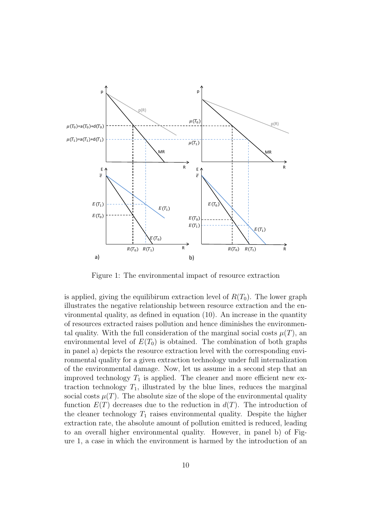

Figure 1: The environmental impact of resource extraction

is applied, giving the equilibirum extraction level of  $R(T_0)$ . The lower graph illustrates the negative relationship between resource extraction and the environmental quality, as defined in equation (10). An increase in the quantity of resources extracted raises pollution and hence diminishes the environmental quality. With the full consideration of the marginal social costs  $\mu(T)$ , an environmental level of  $E(T_0)$  is obtained. The combination of both graphs in panel a) depicts the resource extraction level with the corresponding environmental quality for a given extraction technology under full internalization of the environmental damage. Now, let us assume in a second step that an improved technology  $T_1$  is applied. The cleaner and more efficient new extraction technology  $T_1$ , illustrated by the blue lines, reduces the marginal social costs  $\mu(T)$ . The absolute size of the slope of the environmental quality function  $E(T)$  decreases due to the reduction in  $d(T)$ . The introduction of the cleaner technology  $T_1$  raises environmental quality. Despite the higher extraction rate, the absolute amount of pollution emitted is reduced, leading to an overall higher environmental quality. However, in panel b) of Figure 1, a case in which the environment is harmed by the introduction of an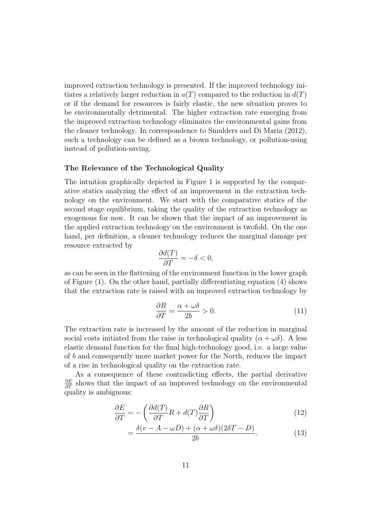improved extraction technology is presented. If the improved technology initiates a relatively larger reduction in  $a(T)$  compared to the reduction in  $d(T)$ or if the demand for resources is fairly elastic, the new situation proves to be environmentally detrimental. The higher extraction rate emerging from the improved extraction technology eliminates the environmental gains from the cleaner technology. In correspondence to Smulders and Di Maria (2012), such a technology can be defined as a brown technology, or pollution-using instead of pollution-saving.

#### The Relevance of the Technological Quality

The intuition graphically depicted in Figure 1 is supported by the comparative statics analyzing the effect of an improvement in the extraction technology on the environment. We start with the comparative statics of the second stage equilibrium, taking the quality of the extraction technology as exogenous for now. It can be shown that the impact of an improvement in the applied extraction technology on the environment is twofold. On the one hand, per definition, a cleaner technology reduces the marginal damage per resource extracted by

$$
\frac{\partial d(T)}{\partial T}=-\delta<0,
$$

as can be seen in the flattening of the environment function in the lower graph of Figure (1). On the other hand, partially differentiating equation (4) shows that the extraction rate is raised with an improved extraction technology by

$$
\frac{\partial R}{\partial T} = \frac{\alpha + \omega \delta}{2b} > 0.
$$
\n(11)

The extraction rate is increased by the amount of the reduction in marginal social costs initiated from the raise in technological quality  $(\alpha + \omega \delta)$ . A less elastic demand function for the final high-technology good, i.e. a large value of b and consequently more market power for the North, reduces the impact of a rise in technological quality on the extraction rate.

As a consequence of these contradicting effects, the partial derivative  $\frac{\partial E}{\partial T}$  shows that the impact of an improved technology on the environmental quality is ambiguous:

$$
\frac{\partial E}{\partial T} = -\left(\frac{\partial d(T)}{\partial T}R + d(T)\frac{\partial R}{\partial T}\right) \tag{12}
$$

$$
=\frac{\delta(v-A-\omega D)+(\alpha+\omega\delta)(2\delta T-D)}{2b}.
$$
\n(13)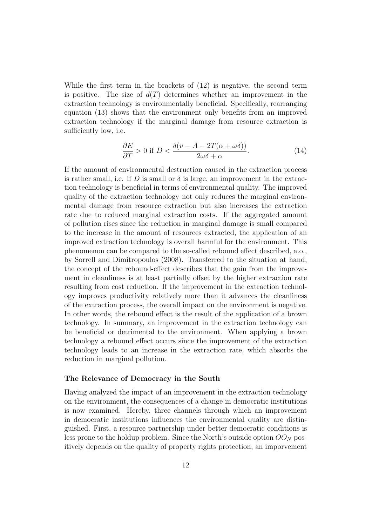While the first term in the brackets of (12) is negative, the second term is positive. The size of  $d(T)$  determines whether an improvement in the extraction technology is environmentally beneficial. Specifically, rearranging equation (13) shows that the environment only benefits from an improved extraction technology if the marginal damage from resource extraction is sufficiently low, i.e.

$$
\frac{\partial E}{\partial T} > 0 \text{ if } D < \frac{\delta(v - A - 2T(\alpha + \omega\delta))}{2\omega\delta + \alpha}.
$$
 (14)

If the amount of environmental destruction caused in the extraction process is rather small, i.e. if D is small or  $\delta$  is large, an improvement in the extraction technology is beneficial in terms of environmental quality. The improved quality of the extraction technology not only reduces the marginal environmental damage from resource extraction but also increases the extraction rate due to reduced marginal extraction costs. If the aggregated amount of pollution rises since the reduction in marginal damage is small compared to the increase in the amount of resources extracted, the application of an improved extraction technology is overall harmful for the environment. This phenomenon can be compared to the so-called rebound effect described, a.o., by Sorrell and Dimitropoulos (2008). Transferred to the situation at hand, the concept of the rebound-effect describes that the gain from the improvement in cleanliness is at least partially offset by the higher extraction rate resulting from cost reduction. If the improvement in the extraction technology improves productivity relatively more than it advances the cleanliness of the extraction process, the overall impact on the environment is negative. In other words, the rebound effect is the result of the application of a brown technology. In summary, an improvement in the extraction technology can be beneficial or detrimental to the environment. When applying a brown technology a rebound effect occurs since the improvement of the extraction technology leads to an increase in the extraction rate, which absorbs the reduction in marginal pollution.

#### The Relevance of Democracy in the South

Having analyzed the impact of an improvement in the extraction technology on the environment, the consequences of a change in democratic institutions is now examined. Hereby, three channels through which an improvement in democratic institutions influences the environmental quality are distinguished. First, a resource partnership under better democratic conditions is less prone to the holdup problem. Since the North's outside option  $OO_N$  positively depends on the quality of property rights protection, an imporvement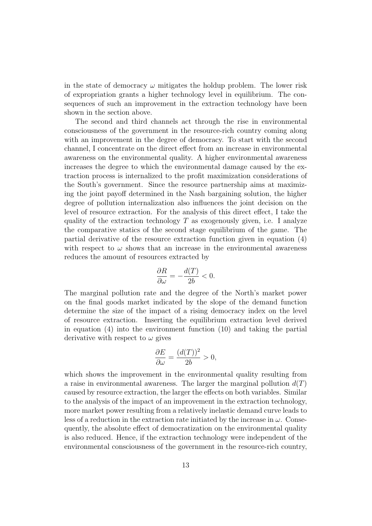in the state of democracy  $\omega$  mitigates the holdup problem. The lower risk of expropriation grants a higher technology level in equilibrium. The consequences of such an improvement in the extraction technology have been shown in the section above.

The second and third channels act through the rise in environmental consciousness of the government in the resource-rich country coming along with an improvement in the degree of democracy. To start with the second channel, I concentrate on the direct effect from an increase in environmental awareness on the environmental quality. A higher environmental awareness increases the degree to which the environmental damage caused by the extraction process is internalized to the profit maximization considerations of the South's government. Since the resource partnership aims at maximizing the joint payoff determined in the Nash bargaining solution, the higher degree of pollution internalization also influences the joint decision on the level of resource extraction. For the analysis of this direct effect, I take the quality of the extraction technology  $T$  as exogenously given, i.e. I analyze the comparative statics of the second stage equilibrium of the game. The partial derivative of the resource extraction function given in equation (4) with respect to  $\omega$  shows that an increase in the environmental awareness reduces the amount of resources extracted by

$$
\frac{\partial R}{\partial \omega} = -\frac{d(T)}{2b} < 0.
$$

The marginal pollution rate and the degree of the North's market power on the final goods market indicated by the slope of the demand function determine the size of the impact of a rising democracy index on the level of resource extraction. Inserting the equilibrium extraction level derived in equation (4) into the environment function (10) and taking the partial derivative with respect to  $\omega$  gives

$$
\frac{\partial E}{\partial \omega} = \frac{(d(T))^2}{2b} > 0,
$$

which shows the improvement in the environmental quality resulting from a raise in environmental awareness. The larger the marginal pollution  $d(T)$ caused by resource extraction, the larger the effects on both variables. Similar to the analysis of the impact of an improvement in the extraction technology, more market power resulting from a relatively inelastic demand curve leads to less of a reduction in the extraction rate initiated by the increase in  $\omega$ . Consequently, the absolute effect of democratization on the environmental quality is also reduced. Hence, if the extraction technology were independent of the environmental consciousness of the government in the resource-rich country,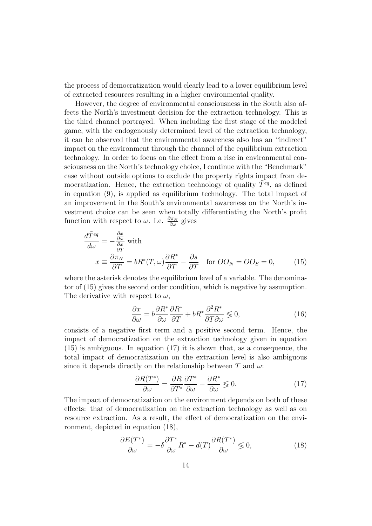the process of democratization would clearly lead to a lower equilibrium level of extracted resources resulting in a higher environmental quality.

However, the degree of environmental consciousness in the South also affects the North's investment decision for the extraction technology. This is the third channel portrayed. When including the first stage of the modeled game, with the endogenously determined level of the extraction technology, it can be observed that the environmental awareness also has an "indirect" impact on the environment through the channel of the equilibrium extraction technology. In order to focus on the effect from a rise in environmental consciousness on the North's technology choice, I continue with the "Benchmark" case without outside options to exclude the property rights impact from democratization. Hence, the extraction technology of quality  $\tilde{T}^{eq}$ , as defined in equation (9), is applied as equilibrium technology. The total impact of an improvement in the South's environmental awareness on the North's investment choice can be seen when totally differentiating the North's profit function with respect to  $\omega$ . I.e.  $\frac{\partial \pi_N}{\partial \omega}$  gives

$$
\frac{d\tilde{T}^{eq}}{d\omega} = -\frac{\frac{\partial x}{\partial \omega}}{\frac{\partial x}{\partial T}} \text{ with}
$$
\n
$$
x \equiv \frac{\partial \pi_N}{\partial T} = bR^*(T, \omega) \frac{\partial R^*}{\partial T} - \frac{\partial s}{\partial T} \quad \text{for } OO_N = OO_S = 0,
$$
\n(15)

where the asterisk denotes the equilibrium level of a variable. The denominator of (15) gives the second order condition, which is negative by assumption. The derivative with respect to  $\omega$ ,

$$
\frac{\partial x}{\partial \omega} = b \frac{\partial R^*}{\partial \omega} \frac{\partial R^*}{\partial T} + bR^* \frac{\partial^2 R^*}{\partial T \partial \omega} \lessgtr 0, \tag{16}
$$

consists of a negative first term and a positive second term. Hence, the impact of democratization on the extraction technology given in equation  $(15)$  is ambiguous. In equation  $(17)$  it is shown that, as a consequence, the total impact of democratization on the extraction level is also ambiguous since it depends directly on the relationship between T and  $\omega$ :

$$
\frac{\partial R(T^*)}{\partial \omega} = \frac{\partial R}{\partial T^*} \frac{\partial T^*}{\partial \omega} + \frac{\partial R^*}{\partial \omega} \lessgtr 0. \tag{17}
$$

The impact of democratization on the environment depends on both of these effects: that of democratization on the extraction technology as well as on resource extraction. As a result, the effect of democratization on the environment, depicted in equation (18),

$$
\frac{\partial E(T^*)}{\partial \omega} = -\delta \frac{\partial T^*}{\partial \omega} R^* - d(T) \frac{\partial R(T^*)}{\partial \omega} \leq 0,
$$
\n(18)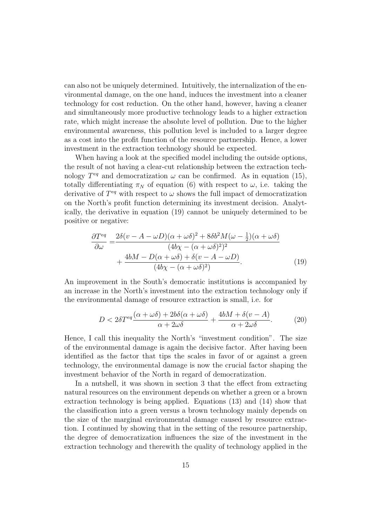can also not be uniquely determined. Intuitively, the internalization of the environmental damage, on the one hand, induces the investment into a cleaner technology for cost reduction. On the other hand, however, having a cleaner and simultaneously more productive technology leads to a higher extraction rate, which might increase the absolute level of pollution. Due to the higher environmental awareness, this pollution level is included to a larger degree as a cost into the profit function of the resource partnership. Hence, a lower investment in the extraction technology should be expected.

When having a look at the specified model including the outside options, the result of not having a clear-cut relationship between the extraction technology  $T^{eq}$  and democratization  $\omega$  can be confirmed. As in equation (15), totally differentiating  $\pi_N$  of equation (6) with respect to  $\omega$ , i.e. taking the derivative of  $T^{eq}$  with respect to  $\omega$  shows the full impact of democratization on the North's profit function determining its investment decision. Analytically, the derivative in equation (19) cannot be uniquely determined to be positive or negative:

$$
\frac{\partial T^{eq}}{\partial \omega} = \frac{2\delta(v - A - \omega D)(\alpha + \omega \delta)^2 + 8\delta b^2 M(\omega - \frac{1}{2})(\alpha + \omega \delta)}{(4b\chi - (\alpha + \omega \delta)^2)^2} + \frac{4bM - D(\alpha + \omega \delta) + \delta(v - A - \omega D)}{(4b\chi - (\alpha + \omega \delta)^2)}.
$$
(19)

An improvement in the South's democratic institutions is accompanied by an increase in the North's investment into the extraction technology only if the environmental damage of resource extraction is small, i.e. for

$$
D < 2\delta T^{eq} \frac{(\alpha + \omega \delta) + 2b\delta(\alpha + \omega \delta)}{\alpha + 2\omega \delta} + \frac{4bM + \delta(v - A)}{\alpha + 2\omega \delta}.\tag{20}
$$

Hence, I call this inequality the North's "investment condition". The size of the environmental damage is again the decisive factor. After having been identified as the factor that tips the scales in favor of or against a green technology, the environmental damage is now the crucial factor shaping the investment behavior of the North in regard of democratization.

In a nutshell, it was shown in section 3 that the effect from extracting natural resources on the environment depends on whether a green or a brown extraction technology is being applied. Equations (13) and (14) show that the classification into a green versus a brown technology mainly depends on the size of the marginal environmental damage caused by resource extraction. I continued by showing that in the setting of the resource partnership, the degree of democratization influences the size of the investment in the extraction technology and therewith the quality of technology applied in the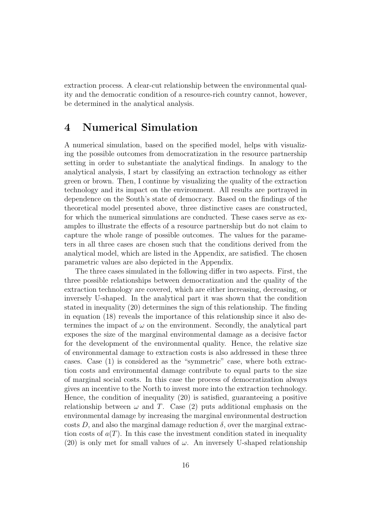extraction process. A clear-cut relationship between the environmental quality and the democratic condition of a resource-rich country cannot, however, be determined in the analytical analysis.

### 4 Numerical Simulation

A numerical simulation, based on the specified model, helps with visualizing the possible outcomes from democratization in the resource partnership setting in order to substantiate the analytical findings. In analogy to the analytical analysis, I start by classifying an extraction technology as either green or brown. Then, I continue by visualizing the quality of the extraction technology and its impact on the environment. All results are portrayed in dependence on the South's state of democracy. Based on the findings of the theoretical model presented above, three distinctive cases are constructed, for which the numerical simulations are conducted. These cases serve as examples to illustrate the effects of a resource partnership but do not claim to capture the whole range of possible outcomes. The values for the parameters in all three cases are chosen such that the conditions derived from the analytical model, which are listed in the Appendix, are satisfied. The chosen parametric values are also depicted in the Appendix.

The three cases simulated in the following differ in two aspects. First, the three possible relationships between democratization and the quality of the extraction technology are covered, which are either increasing, decreasing, or inversely U-shaped. In the analytical part it was shown that the condition stated in inequality (20) determines the sign of this relationship. The finding in equation (18) reveals the importance of this relationship since it also determines the impact of  $\omega$  on the environment. Secondly, the analytical part exposes the size of the marginal environmental damage as a decisive factor for the development of the environmental quality. Hence, the relative size of environmental damage to extraction costs is also addressed in these three cases. Case (1) is considered as the "symmetric" case, where both extraction costs and environmental damage contribute to equal parts to the size of marginal social costs. In this case the process of democratization always gives an incentive to the North to invest more into the extraction technology. Hence, the condition of inequality (20) is satisfied, guaranteeing a positive relationship between  $\omega$  and T. Case (2) puts additional emphasis on the environmental damage by increasing the marginal environmental destruction costs D, and also the marginal damage reduction  $\delta$ , over the marginal extraction costs of  $a(T)$ . In this case the investment condition stated in inequality (20) is only met for small values of  $\omega$ . An inversely U-shaped relationship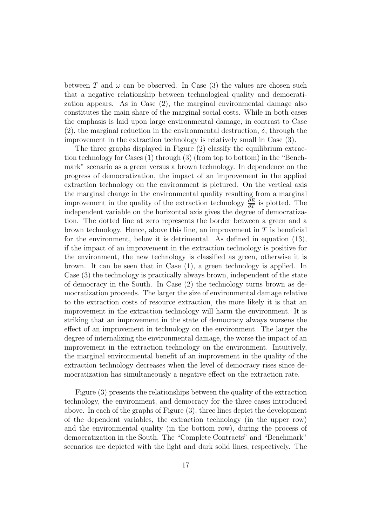between T and  $\omega$  can be observed. In Case (3) the values are chosen such that a negative relationship between technological quality and democratization appears. As in Case (2), the marginal environmental damage also constitutes the main share of the marginal social costs. While in both cases the emphasis is laid upon large environmental damage, in contrast to Case (2), the marginal reduction in the environmental destruction,  $\delta$ , through the improvement in the extraction technology is relatively small in Case (3).

The three graphs displayed in Figure (2) classify the equilibrium extraction technology for Cases (1) through (3) (from top to bottom) in the "Benchmark" scenario as a green versus a brown technology. In dependence on the progress of democratization, the impact of an improvement in the applied extraction technology on the environment is pictured. On the vertical axis the marginal change in the environmental quality resulting from a marginal improvement in the quality of the extraction technology  $\frac{\partial E}{\partial T}$  is plotted. The independent variable on the horizontal axis gives the degree of democratization. The dotted line at zero represents the border between a green and a brown technology. Hence, above this line, an improvement in  $T$  is beneficial for the environment, below it is detrimental. As defined in equation (13), if the impact of an improvement in the extraction technology is positive for the environment, the new technology is classified as green, otherwise it is brown. It can be seen that in Case (1), a green technology is applied. In Case (3) the technology is practically always brown, independent of the state of democracy in the South. In Case (2) the technology turns brown as democratization proceeds. The larger the size of environmental damage relative to the extraction costs of resource extraction, the more likely it is that an improvement in the extraction technology will harm the environment. It is striking that an improvement in the state of democracy always worsens the effect of an improvement in technology on the environment. The larger the degree of internalizing the environmental damage, the worse the impact of an improvement in the extraction technology on the environment. Intuitively, the marginal environmental benefit of an improvement in the quality of the extraction technology decreases when the level of democracy rises since democratization has simultaneously a negative effect on the extraction rate.

Figure (3) presents the relationships between the quality of the extraction technology, the environment, and democracy for the three cases introduced above. In each of the graphs of Figure (3), three lines depict the development of the dependent variables, the extraction technology (in the upper row) and the environmental quality (in the bottom row), during the process of democratization in the South. The "Complete Contracts" and "Benchmark" scenarios are depicted with the light and dark solid lines, respectively. The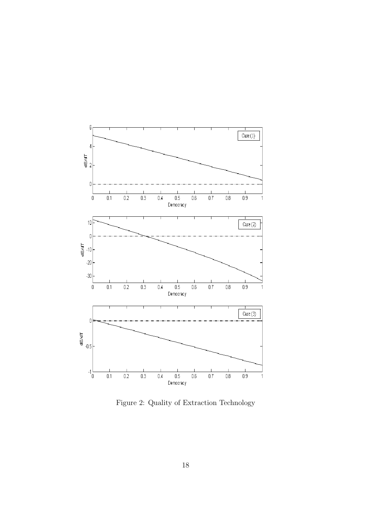

Figure 2: Quality of Extraction Technology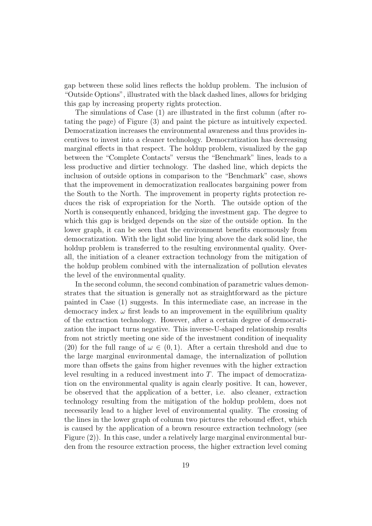gap between these solid lines reflects the holdup problem. The inclusion of "Outside Options", illustrated with the black dashed lines, allows for bridging this gap by increasing property rights protection.

The simulations of Case (1) are illustrated in the first column (after rotating the page) of Figure (3) and paint the picture as intuitively expected. Democratization increases the environmental awareness and thus provides incentives to invest into a cleaner technology. Democratization has decreasing marginal effects in that respect. The holdup problem, visualized by the gap between the "Complete Contacts" versus the "Benchmark" lines, leads to a less productive and dirtier technology. The dashed line, which depicts the inclusion of outside options in comparison to the "Benchmark" case, shows that the improvement in democratization reallocates bargaining power from the South to the North. The improvement in property rights protection reduces the risk of expropriation for the North. The outside option of the North is consequently enhanced, bridging the investment gap. The degree to which this gap is bridged depends on the size of the outside option. In the lower graph, it can be seen that the environment benefits enormously from democratization. With the light solid line lying above the dark solid line, the holdup problem is transferred to the resulting environmental quality. Overall, the initiation of a cleaner extraction technology from the mitigation of the holdup problem combined with the internalization of pollution elevates the level of the environmental quality.

In the second column, the second combination of parametric values demonstrates that the situation is generally not as straightforward as the picture painted in Case (1) suggests. In this intermediate case, an increase in the democracy index  $\omega$  first leads to an improvement in the equilibrium quality of the extraction technology. However, after a certain degree of democratization the impact turns negative. This inverse-U-shaped relationship results from not strictly meeting one side of the investment condition of inequality (20) for the full range of  $\omega \in (0,1)$ . After a certain threshold and due to the large marginal environmental damage, the internalization of pollution more than offsets the gains from higher revenues with the higher extraction level resulting in a reduced investment into  $T$ . The impact of democratization on the environmental quality is again clearly positive. It can, however, be observed that the application of a better, i.e. also cleaner, extraction technology resulting from the mitigation of the holdup problem, does not necessarily lead to a higher level of environmental quality. The crossing of the lines in the lower graph of column two pictures the rebound effect, which is caused by the application of a brown resource extraction technology (see Figure (2)). In this case, under a relatively large marginal environmental burden from the resource extraction process, the higher extraction level coming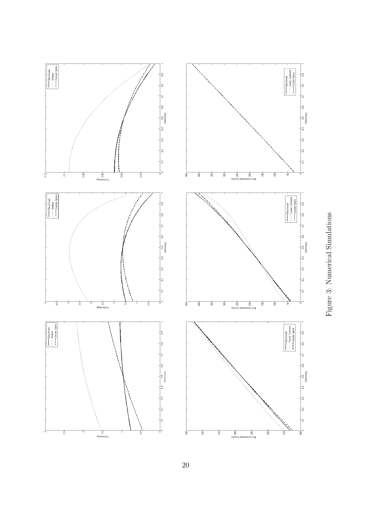

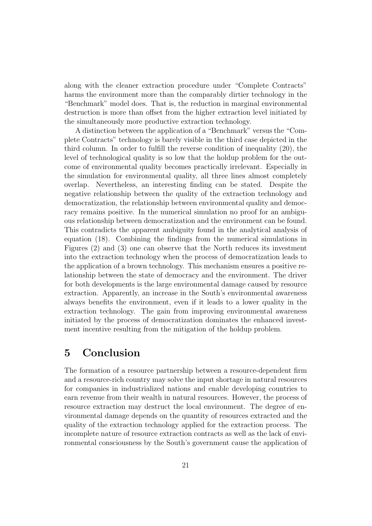along with the cleaner extraction procedure under "Complete Contracts" harms the environment more than the comparably dirtier technology in the "Benchmark" model does. That is, the reduction in marginal environmental destruction is more than offset from the higher extraction level initiated by the simultaneously more productive extraction technology.

A distinction between the application of a "Benchmark" versus the "Complete Contracts" technology is barely visible in the third case depicted in the third column. In order to fulfill the reverse condition of inequality (20), the level of technological quality is so low that the holdup problem for the outcome of environmental quality becomes practically irrelevant. Especially in the simulation for environmental quality, all three lines almost completely overlap. Nevertheless, an interesting finding can be stated. Despite the negative relationship between the quality of the extraction technology and democratization, the relationship between environmental quality and democracy remains positive. In the numerical simulation no proof for an ambiguous relationship between democratization and the environment can be found. This contradicts the apparent ambiguity found in the analytical analysis of equation (18). Combining the findings from the numerical simulations in Figures (2) and (3) one can observe that the North reduces its investment into the extraction technology when the process of democratization leads to the application of a brown technology. This mechanism ensures a positive relationship between the state of democracy and the environment. The driver for both developments is the large environmental damage caused by resource extraction. Apparently, an increase in the South's environmental awareness always benefits the environment, even if it leads to a lower quality in the extraction technology. The gain from improving environmental awareness initiated by the process of democratization dominates the enhanced investment incentive resulting from the mitigation of the holdup problem.

### 5 Conclusion

The formation of a resource partnership between a resource-dependent firm and a resource-rich country may solve the input shortage in natural resources for companies in industrialized nations and enable developing countries to earn revenue from their wealth in natural resources. However, the process of resource extraction may destruct the local environment. The degree of environmental damage depends on the quantity of resources extracted and the quality of the extraction technology applied for the extraction process. The incomplete nature of resource extraction contracts as well as the lack of environmental consciousness by the South's government cause the application of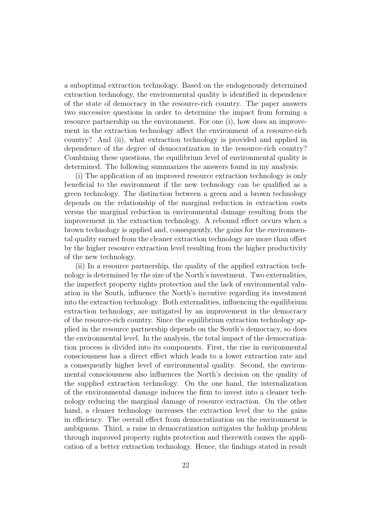a suboptimal extraction technology. Based on the endogenously determined extraction technology, the environmental quality is identified in dependence of the state of democracy in the resource-rich country. The paper answers two successive questions in order to determine the impact from forming a resource partnership on the environment. For one (i), how does an improvement in the extraction technology affect the environment of a resource-rich country? And (ii), what extraction technology is provided and applied in dependence of the degree of democratization in the resource-rich country? Combining these questions, the equilibrium level of environmental quality is determined. The following summarizes the answers found in my analysis:

(i) The application of an improved resource extraction technology is only beneficial to the environment if the new technology can be qualified as a green technology. The distinction between a green and a brown technology depends on the relationship of the marginal reduction in extraction costs versus the marginal reduction in environmental damage resulting from the improvement in the extraction technology. A rebound effect occurs when a brown technology is applied and, consequently, the gains for the environmental quality earned from the cleaner extraction technology are more than offset by the higher resource extraction level resulting from the higher productivity of the new technology.

(ii) In a resource partnership, the quality of the applied extraction technology is determined by the size of the North's investment. Two externalities, the imperfect property rights protection and the lack of environmental valuation in the South, influence the North's incentive regarding its investment into the extraction technology. Both externalities, influencing the equilibrium extraction technology, are mitigated by an improvement in the democracy of the resource-rich country. Since the equilibrium extraction technology applied in the resource partnership depends on the South's democracy, so does the environmental level. In the analysis, the total impact of the democratization process is divided into its components. First, the rise in environmental consciousness has a direct effect which leads to a lower extraction rate and a consequently higher level of environmental quality. Second, the environmental consciousness also influences the North's decision on the quality of the supplied extraction technology. On the one hand, the internalization of the environmental damage induces the firm to invest into a cleaner technology reducing the marginal damage of resource extraction. On the other hand, a cleaner technology increases the extraction level due to the gains in efficiency. The overall effect from democratization on the environment is ambiguous. Third, a raise in democratization mitigates the holdup problem through improved property rights protection and therewith causes the application of a better extraction technology. Hence, the findings stated in result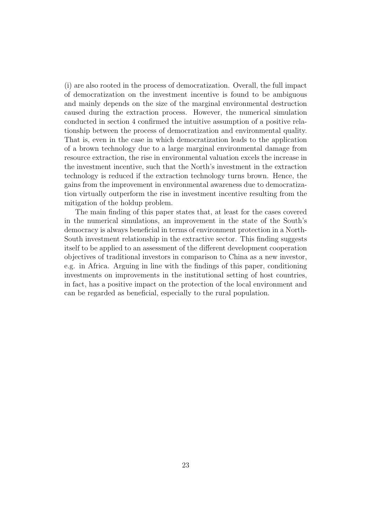(i) are also rooted in the process of democratization. Overall, the full impact of democratization on the investment incentive is found to be ambiguous and mainly depends on the size of the marginal environmental destruction caused during the extraction process. However, the numerical simulation conducted in section 4 confirmed the intuitive assumption of a positive relationship between the process of democratization and environmental quality. That is, even in the case in which democratization leads to the application of a brown technology due to a large marginal environmental damage from resource extraction, the rise in environmental valuation excels the increase in the investment incentive, such that the North's investment in the extraction technology is reduced if the extraction technology turns brown. Hence, the gains from the improvement in environmental awareness due to democratization virtually outperform the rise in investment incentive resulting from the mitigation of the holdup problem.

The main finding of this paper states that, at least for the cases covered in the numerical simulations, an improvement in the state of the South's democracy is always beneficial in terms of environment protection in a North-South investment relationship in the extractive sector. This finding suggests itself to be applied to an assessment of the different development cooperation objectives of traditional investors in comparison to China as a new investor, e.g. in Africa. Arguing in line with the findings of this paper, conditioning investments on improvements in the institutional setting of host countries, in fact, has a positive impact on the protection of the local environment and can be regarded as beneficial, especially to the rural population.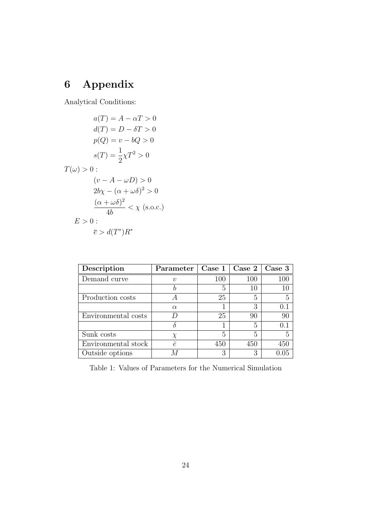# 6 Appendix

Analytical Conditions:

$$
a(T) = A - \alpha T > 0
$$

$$
d(T) = D - \delta T > 0
$$

$$
p(Q) = v - bQ > 0
$$

$$
s(T) = \frac{1}{2}\chi T^2 > 0
$$

$$
T(\omega) > 0:
$$

$$
(v - A - \omega D) > 0
$$

$$
2b\chi - (\alpha + \omega \delta)^2 > 0
$$

$$
\frac{(\alpha + \omega \delta)^2}{4b} < \chi \text{ (s.o.c.)}
$$

$$
E > 0:
$$

$$
\overline{e} > d(T^*)R^*
$$

| Description         | Parameter | $\text{Case} 1$ | Case 2 | Case 3 |
|---------------------|-----------|-----------------|--------|--------|
| Demand curve        | $\eta$    | 100             | 100    | 100    |
|                     |           | 5               | 10     | 10     |
| Production costs    | A         | 25              | 5      | 5      |
|                     | $\alpha$  |                 | 3      | 0.1    |
| Environmental costs |           | 25              | 90     | 90     |
|                     |           |                 | 5      | 0.1    |
| Sunk costs          | X         | 5               | 5      | 5      |
| Environmental stock | $\bar{e}$ | 450             | 450    | 450    |
| Outside options     |           | 3               | 3      | 1 O.5  |

Table 1: Values of Parameters for the Numerical Simulation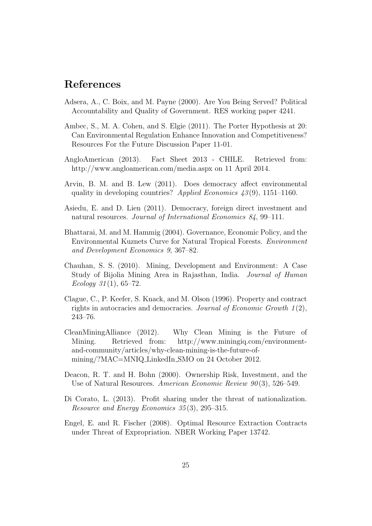### References

- Adsera, A., C. Boix, and M. Payne (2000). Are You Being Served? Political Accountability and Quality of Government. RES working paper 4241.
- Ambec, S., M. A. Cohen, and S. Elgie (2011). The Porter Hypothesis at 20: Can Environmental Regulation Enhance Innovation and Competitiveness? Resources For the Future Discussion Paper 11-01.
- AngloAmerican (2013). Fact Sheet 2013 CHILE. Retrieved from: http://www.angloamerican.com/media.aspx on 11 April 2014.
- Arvin, B. M. and B. Lew (2011). Does democracy affect environmental quality in developing countries? Applied Economics  $43(9)$ , 1151–1160.
- Asiedu, E. and D. Lien (2011). Democracy, foreign direct investment and natural resources. Journal of International Economics 84, 99–111.
- Bhattarai, M. and M. Hammig (2004). Governance, Economic Policy, and the Environmental Kuznets Curve for Natural Tropical Forests. Environment and Development Economics 9, 367–82.
- Chauhan, S. S. (2010). Mining, Development and Environment: A Case Study of Bijolia Mining Area in Rajasthan, India. Journal of Human Ecology  $31(1)$ , 65–72.
- Clague, C., P. Keefer, S. Knack, and M. Olson (1996). Property and contract rights in autocracies and democracies. Journal of Economic Growth  $1(2)$ , 243–76.
- CleanMiningAlliance (2012). Why Clean Mining is the Future of Mining. Retrieved from: http://www.miningiq.com/environmentand-community/articles/why-clean-mining-is-the-future-ofmining/?MAC=MNIQ LinkedIn SMO on 24 October 2012.
- Deacon, R. T. and H. Bohn (2000). Ownership Risk, Investment, and the Use of Natural Resources. American Economic Review 90(3), 526–549.
- Di Corato, L. (2013). Profit sharing under the threat of nationalization. Resource and Energy Economics 35 (3), 295–315.
- Engel, E. and R. Fischer (2008). Optimal Resource Extraction Contracts under Threat of Expropriation. NBER Working Paper 13742.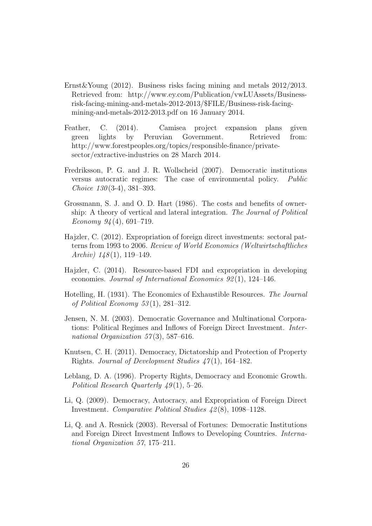- Ernst&Young (2012). Business risks facing mining and metals 2012/2013. Retrieved from: http://www.ey.com/Publication/vwLUAssets/Businessrisk-facing-mining-and-metals-2012-2013/\$FILE/Business-risk-facingmining-and-metals-2012-2013.pdf on 16 January 2014.
- Feather, C. (2014). Camisea project expansion plans given green lights by Peruvian Government. Retrieved from: http://www.forestpeoples.org/topics/responsible-finance/privatesector/extractive-industries on 28 March 2014.
- Fredriksson, P. G. and J. R. Wollscheid (2007). Democratic institutions versus autocratic regimes: The case of environmental policy. Public Choice  $130(3-4)$ ,  $381-393$ .
- Grossmann, S. J. and O. D. Hart (1986). The costs and benefits of ownership: A theory of vertical and lateral integration. The Journal of Political Economy  $94(4)$ , 691–719.
- Hajzler, C. (2012). Expropriation of foreign direct investments: sectoral patterns from 1993 to 2006. Review of World Economics (Weltwirtschaftliches Archiv)  $148(1)$ , 119–149.
- Hajzler, C. (2014). Resource-based FDI and expropriation in developing economies. Journal of International Economics 92 (1), 124–146.
- Hotelling, H. (1931). The Economics of Exhaustible Resources. The Journal of Political Economy  $53(1)$ , 281-312.
- Jensen, N. M. (2003). Democratic Governance and Multinational Corporations: Political Regimes and Inflows of Foreign Direct Investment. International Organization  $57(3)$ , 587–616.
- Knutsen, C. H. (2011). Democracy, Dictatorship and Protection of Property Rights. Journal of Development Studies  $47(1)$ , 164–182.
- Leblang, D. A. (1996). Property Rights, Democracy and Economic Growth. Political Research Quarterly  $49(1)$ , 5–26.
- Li, Q. (2009). Democracy, Autocracy, and Expropriation of Foreign Direct Investment. Comparative Political Studies 42 (8), 1098–1128.
- Li, Q. and A. Resnick (2003). Reversal of Fortunes: Democratic Institutions and Foreign Direct Investment Inflows to Developing Countries. International Organization 57, 175–211.